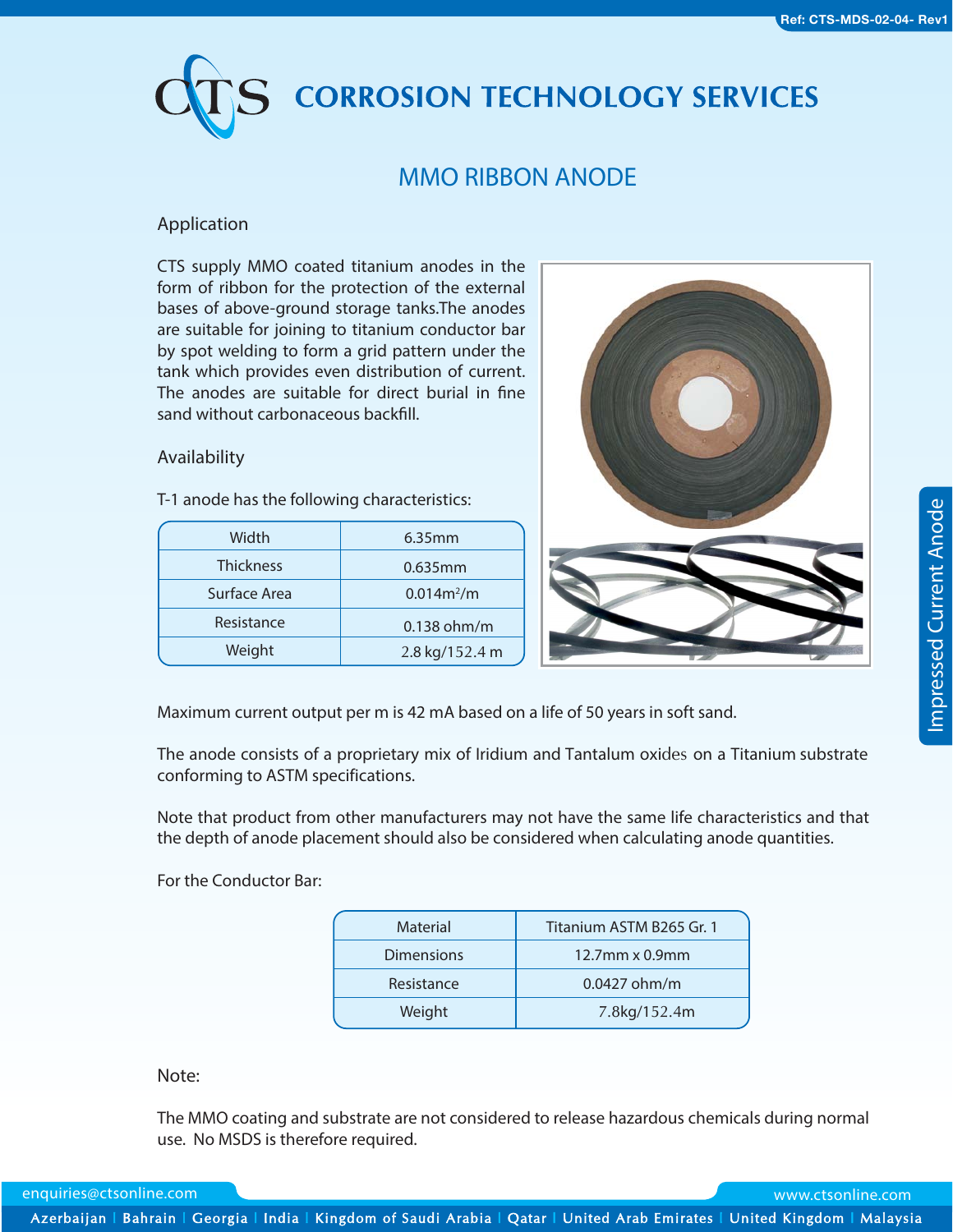# **CORROSION TECHNOLOGY SERVICES**

# **MMO RIBBON ANODE**

## **Application**

CTS supply MMO coated titanium anodes in the form of ribbon for the protection of the external bases of above-ground storage tanks.The anodes are suitable for joining to titanium conductor bar by spot welding to form a grid pattern under the tank which provides even distribution of current. The anodes are suitable for direct burial in fine sand without carbonaceous backfill.

#### **Availability**

T-1 anode has the following characteristics:

| Width            | 6.35mm         |
|------------------|----------------|
| <b>Thickness</b> | 0.635mm        |
| Surface Area     | $0.014m^{2}/m$ |
| Resistance       | 0.138 ohm/m    |
| Weight           | 2.8 kg/152.4 m |



Maximum current output per m is 42 mA based on a life of 50 years in soft sand.

The anode consists of a proprietary mix of Iridium and Tantalum oxides on a Titanium substrate conforming to ASTM specifications.

Note that product from other manufacturers may not have the same life characteristics and that the depth of anode placement should also be considered when calculating anode quantities.

For the Conductor Bar:

| Titanium ASTM B265 Gr. 1 |  |
|--------------------------|--|
| $12.7$ mm x 0.9mm        |  |
| 0.0427 ohm/m             |  |
| 7.8kg/152.4m             |  |
|                          |  |

#### **Note:**

The MMO coating and substrate are not considered to release hazardous chemicals during normal use. No MSDS is therefore required.